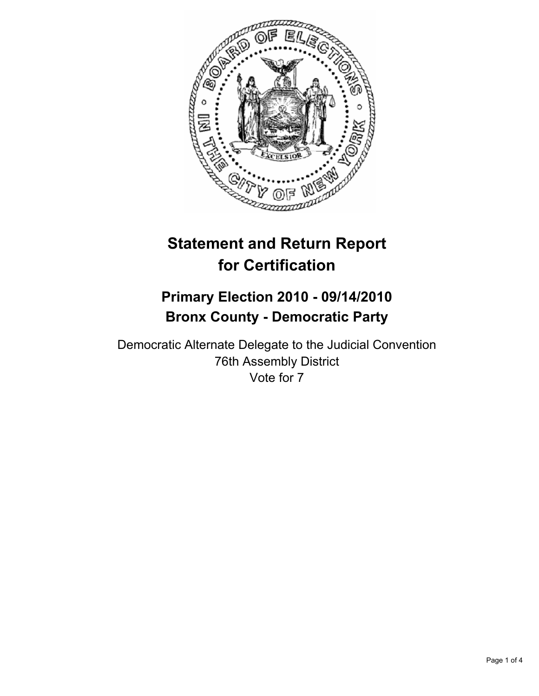

# **Statement and Return Report for Certification**

## **Primary Election 2010 - 09/14/2010 Bronx County - Democratic Party**

Democratic Alternate Delegate to the Judicial Convention 76th Assembly District Vote for 7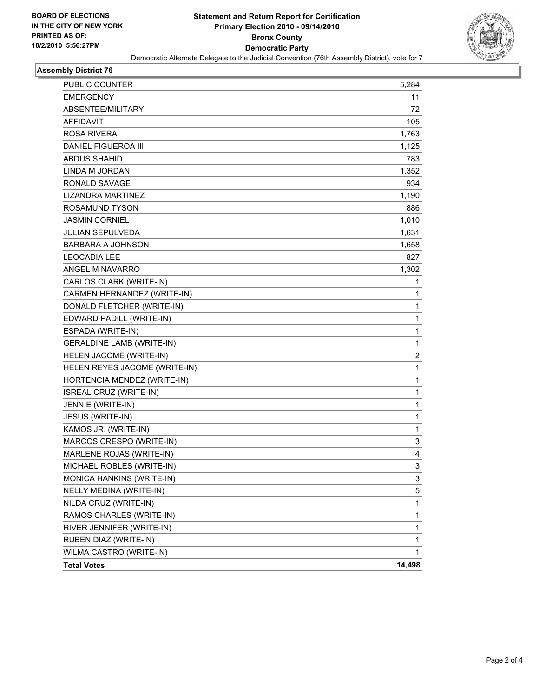

#### **Assembly District 76**

| <b>PUBLIC COUNTER</b>            | 5,284          |
|----------------------------------|----------------|
| <b>EMERGENCY</b>                 | 11             |
| ABSENTEE/MILITARY                | 72             |
| <b>AFFIDAVIT</b>                 | 105            |
| ROSA RIVERA                      | 1,763          |
| DANIEL FIGUEROA III              | 1,125          |
| ABDUS SHAHID                     | 783            |
| LINDA M JORDAN                   | 1,352          |
| RONALD SAVAGE                    | 934            |
| <b>LIZANDRA MARTINEZ</b>         | 1,190          |
| ROSAMUND TYSON                   | 886            |
| JASMIN CORNIEL                   | 1,010          |
| <b>JULIAN SEPULVEDA</b>          | 1,631          |
| <b>BARBARA A JOHNSON</b>         | 1,658          |
| <b>LEOCADIA LEE</b>              | 827            |
| ANGEL M NAVARRO                  | 1,302          |
| CARLOS CLARK (WRITE-IN)          | 1              |
| CARMEN HERNANDEZ (WRITE-IN)      | 1              |
| DONALD FLETCHER (WRITE-IN)       | 1              |
| EDWARD PADILL (WRITE-IN)         | 1              |
| ESPADA (WRITE-IN)                | 1              |
| <b>GERALDINE LAMB (WRITE-IN)</b> | 1              |
| HELEN JACOME (WRITE-IN)          | $\overline{2}$ |
| HELEN REYES JACOME (WRITE-IN)    | 1              |
| HORTENCIA MENDEZ (WRITE-IN)      | 1              |
| ISREAL CRUZ (WRITE-IN)           | 1              |
| JENNIE (WRITE-IN)                | 1              |
| JESUS (WRITE-IN)                 | 1              |
| KAMOS JR. (WRITE-IN)             | 1              |
| MARCOS CRESPO (WRITE-IN)         | 3              |
| MARLENE ROJAS (WRITE-IN)         | 4              |
| MICHAEL ROBLES (WRITE-IN)        | 3              |
| MONICA HANKINS (WRITE-IN)        | 3              |
| NELLY MEDINA (WRITE-IN)          | 5              |
| NILDA CRUZ (WRITE-IN)            | 1              |
| RAMOS CHARLES (WRITE-IN)         | 1              |
| RIVER JENNIFER (WRITE-IN)        | 1              |
| RUBEN DIAZ (WRITE-IN)            | 1              |
| WILMA CASTRO (WRITE-IN)          | 1              |
| <b>Total Votes</b>               | 14,498         |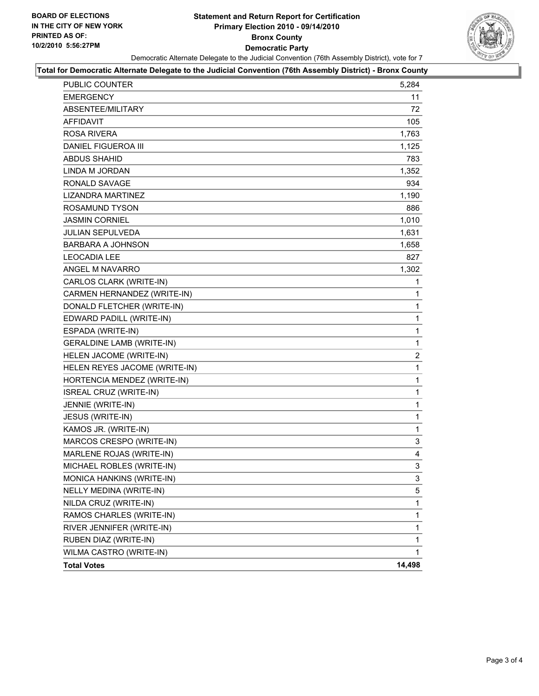#### **Statement and Return Report for Certification Primary Election 2010 - 09/14/2010 Bronx County Democratic Party** Democratic Alternate Delegate to the Judicial Convention (76th Assembly District), vote for 7



#### **Total for Democratic Alternate Delegate to the Judicial Convention (76th Assembly District) - Bronx County**

| <b>PUBLIC COUNTER</b>            | 5,284          |
|----------------------------------|----------------|
| <b>EMERGENCY</b>                 | 11             |
| ABSENTEE/MILITARY                | 72             |
| AFFIDAVIT                        | 105            |
| ROSA RIVERA                      | 1,763          |
| <b>DANIEL FIGUEROA III</b>       | 1,125          |
| ABDUS SHAHID                     | 783            |
| LINDA M JORDAN                   | 1,352          |
| <b>RONALD SAVAGE</b>             | 934            |
| LIZANDRA MARTINEZ                | 1,190          |
| ROSAMUND TYSON                   | 886            |
| <b>JASMIN CORNIEL</b>            | 1,010          |
| <b>JULIAN SEPULVEDA</b>          | 1,631          |
| BARBARA A JOHNSON                | 1,658          |
| <b>LEOCADIA LEE</b>              | 827            |
| ANGEL M NAVARRO                  | 1,302          |
| CARLOS CLARK (WRITE-IN)          | 1              |
| CARMEN HERNANDEZ (WRITE-IN)      | 1              |
| DONALD FLETCHER (WRITE-IN)       | 1              |
| EDWARD PADILL (WRITE-IN)         | 1              |
| ESPADA (WRITE-IN)                | 1              |
| <b>GERALDINE LAMB (WRITE-IN)</b> | 1              |
| HELEN JACOME (WRITE-IN)          | $\overline{c}$ |
| HELEN REYES JACOME (WRITE-IN)    | 1              |
| HORTENCIA MENDEZ (WRITE-IN)      | 1              |
| ISREAL CRUZ (WRITE-IN)           | 1              |
| JENNIE (WRITE-IN)                | 1              |
| JESUS (WRITE-IN)                 | $\mathbf{1}$   |
| KAMOS JR. (WRITE-IN)             | 1              |
| MARCOS CRESPO (WRITE-IN)         | 3              |
| MARLENE ROJAS (WRITE-IN)         | 4              |
| MICHAEL ROBLES (WRITE-IN)        | 3              |
| MONICA HANKINS (WRITE-IN)        | 3              |
| NELLY MEDINA (WRITE-IN)          | 5              |
| NILDA CRUZ (WRITE-IN)            | 1              |
| RAMOS CHARLES (WRITE-IN)         | $\mathbf 1$    |
| RIVER JENNIFER (WRITE-IN)        | 1              |
| RUBEN DIAZ (WRITE-IN)            | 1              |
| WILMA CASTRO (WRITE-IN)          | $\mathbf{1}$   |
| <b>Total Votes</b>               | 14,498         |
|                                  |                |